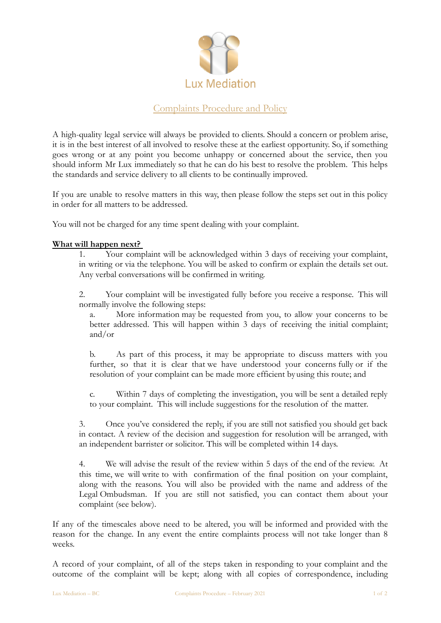

# Complaints Procedure and Policy

A high-quality legal service will always be provided to clients. Should a concern or problem arise, it is in the best interest of all involved to resolve these at the earliest opportunity. So, if something goes wrong or at any point you become unhappy or concerned about the service, then you should inform Mr Lux immediately so that he can do his best to resolve the problem. This helps the standards and service delivery to all clients to be continually improved.

If you are unable to resolve matters in this way, then please follow the steps set out in this policy in order for all matters to be addressed.

You will not be charged for any time spent dealing with your complaint.

## **What will happen next?**

1. Your complaint will be acknowledged within 3 days of receiving your complaint, in writing or via the telephone. You will be asked to confirm or explain the details set out. Any verbal conversations will be confirmed in writing.

2. Your complaint will be investigated fully before you receive a response. This will normally involve the following steps:

a. More information may be requested from you, to allow your concerns to be better addressed. This will happen within 3 days of receiving the initial complaint; and/or

b. As part of this process, it may be appropriate to discuss matters with you further, so that it is clear that we have understood your concerns fully or if the resolution of your complaint can be made more efficient byusing this route; and

c. Within 7 days of completing the investigation, you will be sent a detailed reply to your complaint. This will include suggestions for the resolution of the matter.

3. Once you've considered the reply, if you are still not satisfied you should get back in contact. A review of the decision and suggestion for resolution will be arranged, with an independent barrister or solicitor. This will be completed within 14 days.

4. We will advise the result of the review within 5 days of the end of the review. At this time, we will write to with confirmation of the final position on your complaint, along with the reasons. You will also be provided with the name and address of the Legal Ombudsman. If you are still not satisfied, you can contact them about your complaint (see below).

If any of the timescales above need to be altered, you will be informed and provided with the reason for the change. In any event the entire complaints process will not take longer than 8 weeks.

A record of your complaint, of all of the steps taken in responding to your complaint and the outcome of the complaint will be kept; along with all copies of correspondence, including